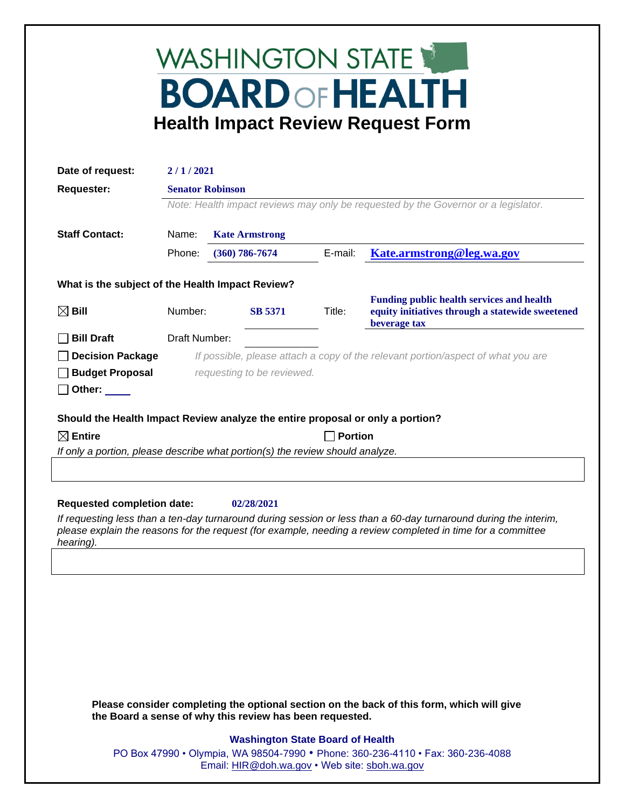## WASHINGTON STATE **BOARD OF HEALTH Health Impact Review Request Form**

| Date of request:                                                               | 2/1/2021                                                                           |                         |                |         |                                                                                                                      |  |
|--------------------------------------------------------------------------------|------------------------------------------------------------------------------------|-------------------------|----------------|---------|----------------------------------------------------------------------------------------------------------------------|--|
| <b>Requester:</b>                                                              |                                                                                    | <b>Senator Robinson</b> |                |         |                                                                                                                      |  |
|                                                                                | Note: Health impact reviews may only be requested by the Governor or a legislator. |                         |                |         |                                                                                                                      |  |
| <b>Staff Contact:</b>                                                          | <b>Kate Armstrong</b><br>Name:                                                     |                         |                |         |                                                                                                                      |  |
|                                                                                | Phone:                                                                             | $(360)$ 786-7674        |                | E-mail: | <u>Kate.armstrong@leg.wa.gov</u>                                                                                     |  |
| What is the subject of the Health Impact Review?                               |                                                                                    |                         |                |         |                                                                                                                      |  |
| $\boxtimes$ Bill                                                               | Number:                                                                            |                         | <b>SB 5371</b> | Title:  | <b>Funding public health services and health</b><br>equity initiatives through a statewide sweetened<br>beverage tax |  |
| <b>Bill Draft</b>                                                              | Draft Number:                                                                      |                         |                |         |                                                                                                                      |  |
| <b>Decision Package</b>                                                        | If possible, please attach a copy of the relevant portion/aspect of what you are   |                         |                |         |                                                                                                                      |  |
| <b>Budget Proposal</b>                                                         | requesting to be reviewed.                                                         |                         |                |         |                                                                                                                      |  |
| Other: $\_\_$                                                                  |                                                                                    |                         |                |         |                                                                                                                      |  |
| Should the Health Impact Review analyze the entire proposal or only a portion? |                                                                                    |                         |                |         |                                                                                                                      |  |
| $\boxtimes$ Entire                                                             | <b>Portion</b>                                                                     |                         |                |         |                                                                                                                      |  |
| If only a portion, please describe what portion(s) the review should analyze.  |                                                                                    |                         |                |         |                                                                                                                      |  |
|                                                                                |                                                                                    |                         |                |         |                                                                                                                      |  |
|                                                                                |                                                                                    |                         |                |         |                                                                                                                      |  |
| <b>Requested completion date:</b>                                              |                                                                                    |                         | 02/28/2021     |         | If requesting less than a tap day turnaround during session or less than a 60 day turnaround during the interim      |  |

*If requesting less than a ten-day turnaround during session or less than a 60-day turnaround during the interim, please explain the reasons for the request (for example, needing a review completed in time for a committee hearing).*

**Please consider completing the optional section on the back of this form, which will give the Board a sense of why this review has been requested.**

## **Washington State Board of Health**

PO Box 47990 • Olympia, WA 98504-7990 • Phone: 360-236-4110 • Fax: 360-236-4088 Email: [HIR@doh.wa.gov](mailto:HIR@doh.wa.gov) • Web site: [sboh.wa.gov](http://www.sboh.wa.gov/hdcouncil/)